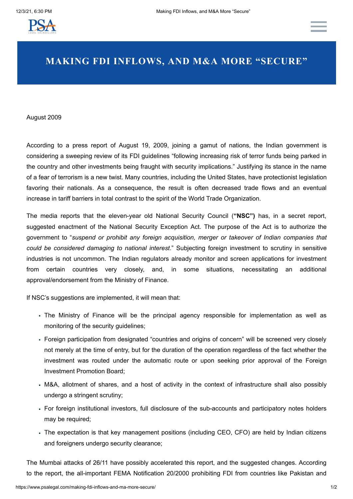

# **MAKING FDI INFLOWS, AND M&A MORE "SECURE"**

### August 2009

According to a press report of August 19, 2009, joining a gamut of nations, the Indian government is considering a sweeping review of its FDI guidelines "following increasing risk of terror funds being parked in the country and other investments being fraught with security implications." Justifying its stance in the name of a fear of terrorism is a new twist. Many countries, including the United States, have protectionist legislation favoring their nationals. As a consequence, the result is often decreased trade flows and an eventual increase in tariff barriers in total contrast to the spirit of the World Trade Organization.

The media reports that the eleven-year old National Security Council (**"NSC")** has, in a secret report, suggested enactment of the National Security Exception Act. The purpose of the Act is to authorize the government to "*suspend or prohibit any foreign acquisition, merger or takeover of Indian companies that could be considered damaging to national interest*." Subjecting foreign investment to scrutiny in sensitive industries is not uncommon. The Indian regulators already monitor and screen applications for investment from certain countries very closely, and, in some situations, necessitating an additional approval/endorsement from the Ministry of Finance.

If NSC's suggestions are implemented, it will mean that:

- The Ministry of Finance will be the principal agency responsible for implementation as well as monitoring of the security guidelines;
- Foreign participation from designated "countries and origins of concern" will be screened very closely not merely at the time of entry, but for the duration of the operation regardless of the fact whether the investment was routed under the automatic route or upon seeking prior approval of the Foreign Investment Promotion Board;
- M&A, allotment of shares, and a host of activity in the context of infrastructure shall also possibly undergo a stringent scrutiny;
- For foreign institutional investors, full disclosure of the sub-accounts and participatory notes holders may be required;
- The expectation is that key management positions (including CEO, CFO) are held by Indian citizens and foreigners undergo security clearance;

The Mumbai attacks of 26/11 have possibly accelerated this report, and the suggested changes. According to the report, the all-important FEMA Notification 20/2000 prohibiting FDI from countries like Pakistan and